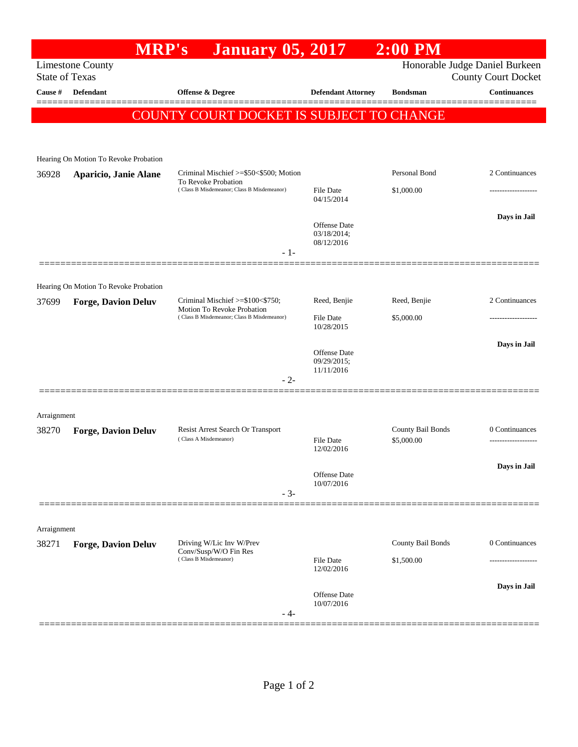## **MRP's January 05, 2017 2:00 PM** Limestone County Honorable Judge Daniel Burkeen State of Texas County Court Docket **Cause # Defendant Offense & Degree Defendant Attorney Bondsman Continuances** ============================================================================================== COUNTY COURT DOCKET IS SUBJECT TO CHANGE Hearing On Motion To Revoke Probation 36928 **Aparicio, Janie Alane** Criminal Mischief >=\$50<\$500; Motion To Revoke Probation Personal Bond 2 Continuances ( Class B Misdemeanor; Class B Misdemeanor) File Date \$1,000.00 ------------------- 04/15/2014 **Days in Jail**  Offense Date 03/18/2014; 08/12/2016 - 1- ============================================================================================== Hearing On Motion To Revoke Probation 37699 **Forge, Davion Deluv** Criminal Mischief >=\$100<\$750; Motion To Revoke Probation Reed, Benjie Reed, Benjie 2 Continuances ( Class B Misdemeanor; Class B Misdemeanor) File Date \$5,000.00 10/28/2015 **Days in Jail**  Offense Date 09/29/2015; 11/11/2016 - 2- ============================================================================================== Arraignment 38270 **Forge, Davion Deluv** Resist Arrest Search Or Transport County Bail Bonds 0 Continuances<br>Class A Misdemeanor) County Bail Bonds 0 Continuances ( Class A Misdemeanor) File Date \$5,000.00 ------------------- 12/02/2016 **Days in Jail**  Offense Date 10/07/2016 - 3- ============================================================================================== Arraignment 38271 **Forge, Davion Deluv** Driving W/Lic Inv W/Prev Conv/Susp/W/O Fin Res County Bail Bonds 0 Continuances  $( Class B \nMisdeneanor)$  File Date  $$1,500.00$ 12/02/2016

- 4- ==============================================================================================

Offense Date 10/07/2016

**Days in Jail**